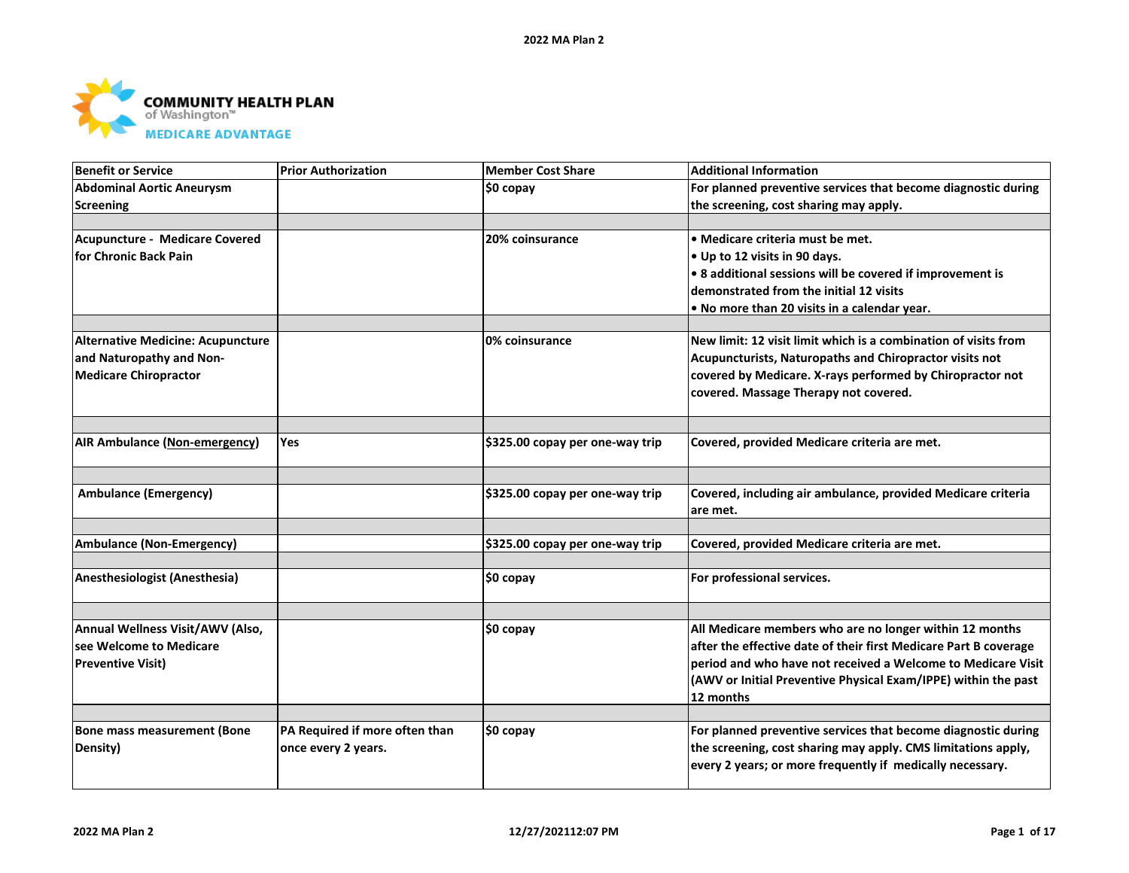

| <b>Benefit or Service</b>            | <b>Prior Authorization</b>     | <b>Member Cost Share</b>        | <b>Additional Information</b>                                    |
|--------------------------------------|--------------------------------|---------------------------------|------------------------------------------------------------------|
| <b>Abdominal Aortic Aneurysm</b>     |                                | \$0 copay                       | For planned preventive services that become diagnostic during    |
| Screening                            |                                |                                 | the screening, cost sharing may apply.                           |
|                                      |                                |                                 |                                                                  |
| Acupuncture - Medicare Covered       |                                | 20% coinsurance                 | • Medicare criteria must be met.                                 |
| for Chronic Back Pain                |                                |                                 | • Up to 12 visits in 90 days.                                    |
|                                      |                                |                                 | • 8 additional sessions will be covered if improvement is        |
|                                      |                                |                                 | demonstrated from the initial 12 visits                          |
|                                      |                                |                                 | . No more than 20 visits in a calendar year.                     |
|                                      |                                |                                 |                                                                  |
| Alternative Medicine: Acupuncture    |                                | 0% coinsurance                  | New limit: 12 visit limit which is a combination of visits from  |
| and Naturopathy and Non-             |                                |                                 | Acupuncturists, Naturopaths and Chiropractor visits not          |
| <b>Medicare Chiropractor</b>         |                                |                                 | covered by Medicare. X-rays performed by Chiropractor not        |
|                                      |                                |                                 | covered. Massage Therapy not covered.                            |
|                                      |                                |                                 |                                                                  |
| <b>AIR Ambulance (Non-emergency)</b> | <b>Yes</b>                     | \$325.00 copay per one-way trip | Covered, provided Medicare criteria are met.                     |
|                                      |                                |                                 |                                                                  |
| <b>Ambulance (Emergency)</b>         |                                | \$325.00 copay per one-way trip | Covered, including air ambulance, provided Medicare criteria     |
|                                      |                                |                                 | are met.                                                         |
|                                      |                                | \$325.00 copay per one-way trip |                                                                  |
| <b>Ambulance (Non-Emergency)</b>     |                                |                                 | Covered, provided Medicare criteria are met.                     |
| Anesthesiologist (Anesthesia)        |                                | $$0$ copay                      | For professional services.                                       |
|                                      |                                |                                 |                                                                  |
| Annual Wellness Visit/AWV (Also,     |                                | \$0 copay                       | All Medicare members who are no longer within 12 months          |
| see Welcome to Medicare              |                                |                                 | after the effective date of their first Medicare Part B coverage |
| <b>Preventive Visit)</b>             |                                |                                 | period and who have not received a Welcome to Medicare Visit     |
|                                      |                                |                                 | (AWV or Initial Preventive Physical Exam/IPPE) within the past   |
|                                      |                                |                                 | 12 months                                                        |
|                                      |                                |                                 |                                                                  |
| Bone mass measurement (Bone          | PA Required if more often than | \$0 copay                       | For planned preventive services that become diagnostic during    |
| Density)                             | once every 2 years.            |                                 | the screening, cost sharing may apply. CMS limitations apply,    |
|                                      |                                |                                 | every 2 years; or more frequently if medically necessary.        |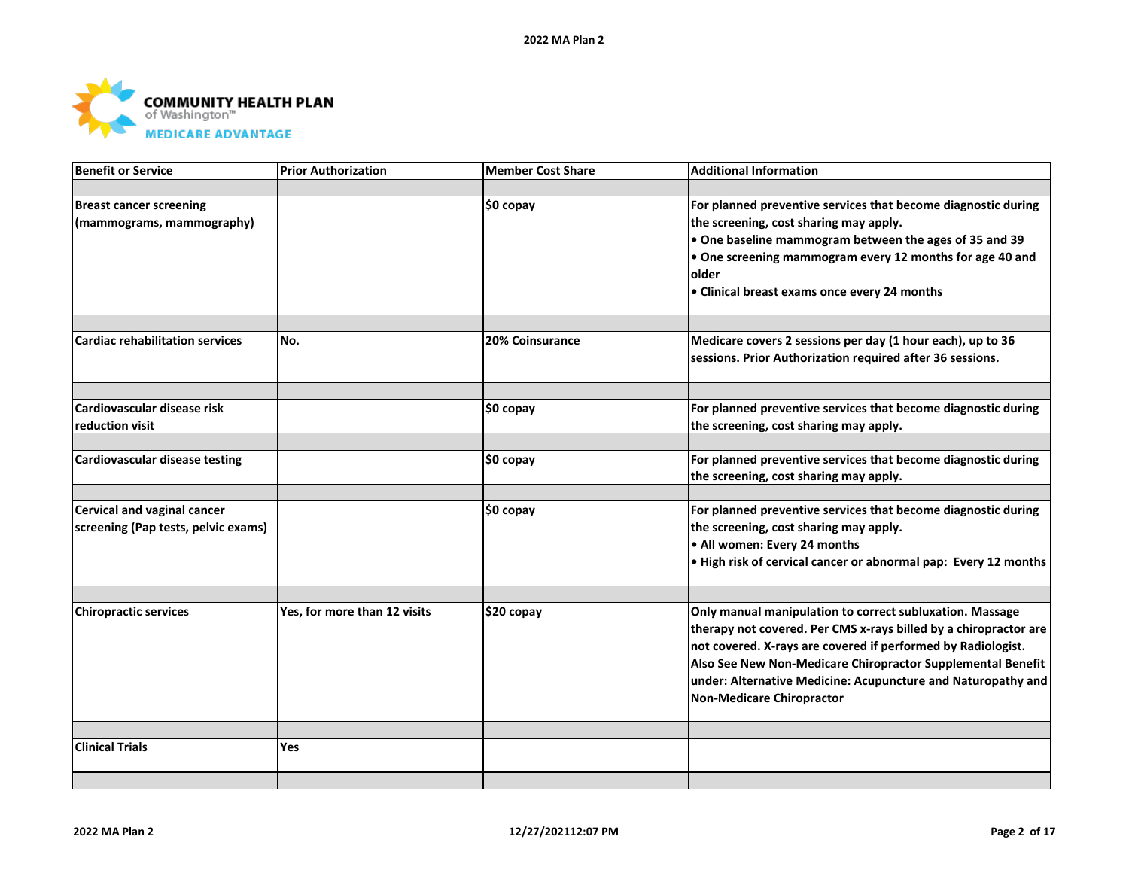

| <b>Benefit or Service</b>              | <b>Prior Authorization</b>   | <b>Member Cost Share</b> | <b>Additional Information</b>                                    |
|----------------------------------------|------------------------------|--------------------------|------------------------------------------------------------------|
|                                        |                              |                          |                                                                  |
| <b>Breast cancer screening</b>         |                              | \$0 copay                | For planned preventive services that become diagnostic during    |
| (mammograms, mammography)              |                              |                          | the screening, cost sharing may apply.                           |
|                                        |                              |                          | . One baseline mammogram between the ages of 35 and 39           |
|                                        |                              |                          | . One screening mammogram every 12 months for age 40 and         |
|                                        |                              |                          | older                                                            |
|                                        |                              |                          | • Clinical breast exams once every 24 months                     |
|                                        |                              |                          |                                                                  |
| <b>Cardiac rehabilitation services</b> | No.                          | <b>20% Coinsurance</b>   | Medicare covers 2 sessions per day (1 hour each), up to 36       |
|                                        |                              |                          | sessions. Prior Authorization required after 36 sessions.        |
|                                        |                              |                          |                                                                  |
| Cardiovascular disease risk            |                              | \$0 copay                | For planned preventive services that become diagnostic during    |
| reduction visit                        |                              |                          | the screening, cost sharing may apply.                           |
| Cardiovascular disease testing         |                              | \$0 copay                | For planned preventive services that become diagnostic during    |
|                                        |                              |                          | the screening, cost sharing may apply.                           |
| <b>Cervical and vaginal cancer</b>     |                              | \$0 copay                | For planned preventive services that become diagnostic during    |
| screening (Pap tests, pelvic exams)    |                              |                          | the screening, cost sharing may apply.                           |
|                                        |                              |                          | • All women: Every 24 months                                     |
|                                        |                              |                          | . High risk of cervical cancer or abnormal pap: Every 12 months  |
|                                        |                              |                          |                                                                  |
| <b>Chiropractic services</b>           | Yes, for more than 12 visits | \$20 copay               | Only manual manipulation to correct subluxation. Massage         |
|                                        |                              |                          | therapy not covered. Per CMS x-rays billed by a chiropractor are |
|                                        |                              |                          | not covered. X-rays are covered if performed by Radiologist.     |
|                                        |                              |                          | Also See New Non-Medicare Chiropractor Supplemental Benefit      |
|                                        |                              |                          | under: Alternative Medicine: Acupuncture and Naturopathy and     |
|                                        |                              |                          | Non-Medicare Chiropractor                                        |
|                                        |                              |                          |                                                                  |
| <b>Clinical Trials</b>                 | <b>Yes</b>                   |                          |                                                                  |
|                                        |                              |                          |                                                                  |
|                                        |                              |                          |                                                                  |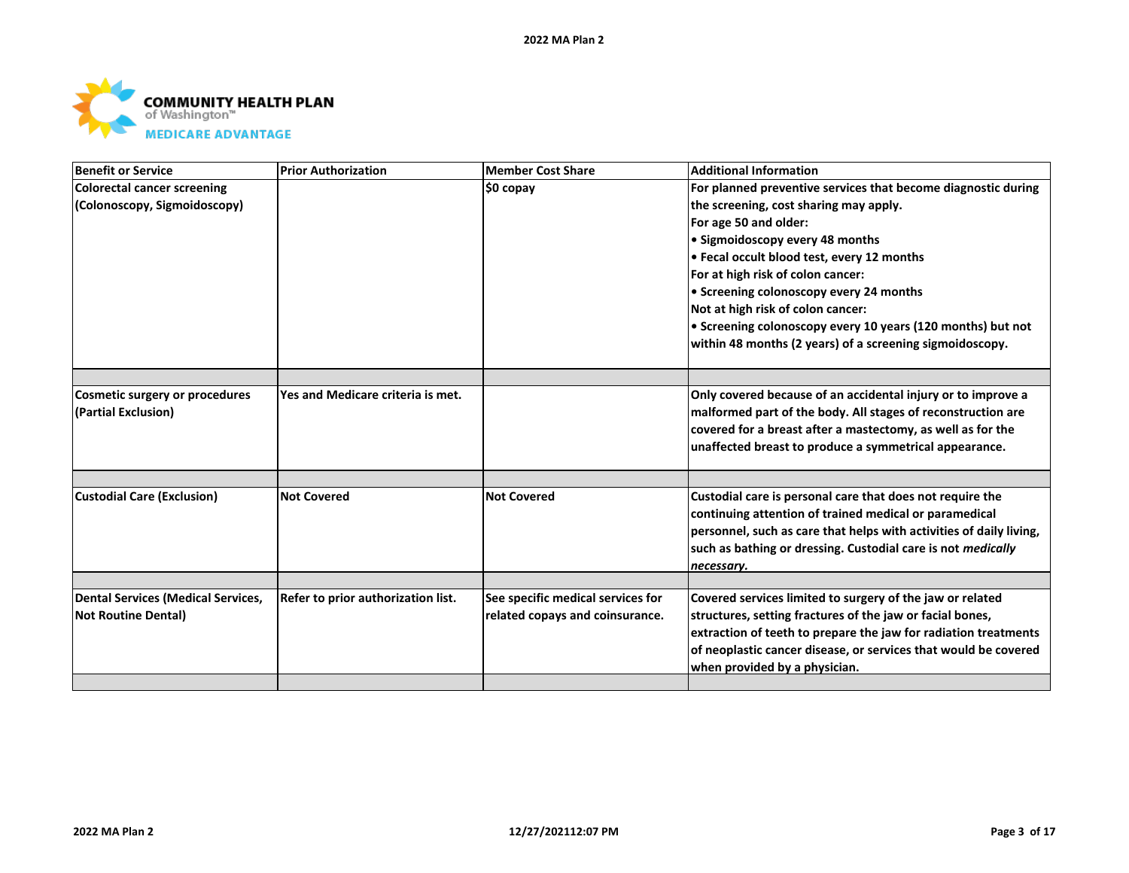

| <b>Colorectal cancer screening</b><br>For planned preventive services that become diagnostic during<br>\$0 copay<br>(Colonoscopy, Sigmoidoscopy)<br>the screening, cost sharing may apply.<br>For age 50 and older:<br>• Sigmoidoscopy every 48 months<br>• Fecal occult blood test, every 12 months<br>For at high risk of colon cancer:<br>• Screening colonoscopy every 24 months<br>Not at high risk of colon cancer:<br>• Screening colonoscopy every 10 years (120 months) but not<br>within 48 months (2 years) of a screening sigmoidoscopy.<br>Yes and Medicare criteria is met.<br>Only covered because of an accidental injury or to improve a<br><b>Cosmetic surgery or procedures</b><br>(Partial Exclusion)<br>malformed part of the body. All stages of reconstruction are<br>covered for a breast after a mastectomy, as well as for the<br>unaffected breast to produce a symmetrical appearance.<br><b>Custodial Care (Exclusion)</b><br><b>Not Covered</b><br>Custodial care is personal care that does not require the<br><b>Not Covered</b><br>continuing attention of trained medical or paramedical<br>personnel, such as care that helps with activities of daily living,<br>such as bathing or dressing. Custodial care is not medically<br>necessary.<br>See specific medical services for<br><b>Dental Services (Medical Services,</b><br>Refer to prior authorization list.<br>Covered services limited to surgery of the jaw or related<br>structures, setting fractures of the jaw or facial bones,<br><b>Not Routine Dental)</b><br>related copays and coinsurance.<br>extraction of teeth to prepare the jaw for radiation treatments | <b>Benefit or Service</b> | <b>Prior Authorization</b> | <b>Member Cost Share</b> | <b>Additional Information</b>                                   |
|-----------------------------------------------------------------------------------------------------------------------------------------------------------------------------------------------------------------------------------------------------------------------------------------------------------------------------------------------------------------------------------------------------------------------------------------------------------------------------------------------------------------------------------------------------------------------------------------------------------------------------------------------------------------------------------------------------------------------------------------------------------------------------------------------------------------------------------------------------------------------------------------------------------------------------------------------------------------------------------------------------------------------------------------------------------------------------------------------------------------------------------------------------------------------------------------------------------------------------------------------------------------------------------------------------------------------------------------------------------------------------------------------------------------------------------------------------------------------------------------------------------------------------------------------------------------------------------------------------------------------------------------------------------------------|---------------------------|----------------------------|--------------------------|-----------------------------------------------------------------|
|                                                                                                                                                                                                                                                                                                                                                                                                                                                                                                                                                                                                                                                                                                                                                                                                                                                                                                                                                                                                                                                                                                                                                                                                                                                                                                                                                                                                                                                                                                                                                                                                                                                                       |                           |                            |                          |                                                                 |
|                                                                                                                                                                                                                                                                                                                                                                                                                                                                                                                                                                                                                                                                                                                                                                                                                                                                                                                                                                                                                                                                                                                                                                                                                                                                                                                                                                                                                                                                                                                                                                                                                                                                       |                           |                            |                          |                                                                 |
|                                                                                                                                                                                                                                                                                                                                                                                                                                                                                                                                                                                                                                                                                                                                                                                                                                                                                                                                                                                                                                                                                                                                                                                                                                                                                                                                                                                                                                                                                                                                                                                                                                                                       |                           |                            |                          |                                                                 |
|                                                                                                                                                                                                                                                                                                                                                                                                                                                                                                                                                                                                                                                                                                                                                                                                                                                                                                                                                                                                                                                                                                                                                                                                                                                                                                                                                                                                                                                                                                                                                                                                                                                                       |                           |                            |                          |                                                                 |
|                                                                                                                                                                                                                                                                                                                                                                                                                                                                                                                                                                                                                                                                                                                                                                                                                                                                                                                                                                                                                                                                                                                                                                                                                                                                                                                                                                                                                                                                                                                                                                                                                                                                       |                           |                            |                          |                                                                 |
|                                                                                                                                                                                                                                                                                                                                                                                                                                                                                                                                                                                                                                                                                                                                                                                                                                                                                                                                                                                                                                                                                                                                                                                                                                                                                                                                                                                                                                                                                                                                                                                                                                                                       |                           |                            |                          |                                                                 |
|                                                                                                                                                                                                                                                                                                                                                                                                                                                                                                                                                                                                                                                                                                                                                                                                                                                                                                                                                                                                                                                                                                                                                                                                                                                                                                                                                                                                                                                                                                                                                                                                                                                                       |                           |                            |                          |                                                                 |
|                                                                                                                                                                                                                                                                                                                                                                                                                                                                                                                                                                                                                                                                                                                                                                                                                                                                                                                                                                                                                                                                                                                                                                                                                                                                                                                                                                                                                                                                                                                                                                                                                                                                       |                           |                            |                          |                                                                 |
|                                                                                                                                                                                                                                                                                                                                                                                                                                                                                                                                                                                                                                                                                                                                                                                                                                                                                                                                                                                                                                                                                                                                                                                                                                                                                                                                                                                                                                                                                                                                                                                                                                                                       |                           |                            |                          |                                                                 |
|                                                                                                                                                                                                                                                                                                                                                                                                                                                                                                                                                                                                                                                                                                                                                                                                                                                                                                                                                                                                                                                                                                                                                                                                                                                                                                                                                                                                                                                                                                                                                                                                                                                                       |                           |                            |                          |                                                                 |
|                                                                                                                                                                                                                                                                                                                                                                                                                                                                                                                                                                                                                                                                                                                                                                                                                                                                                                                                                                                                                                                                                                                                                                                                                                                                                                                                                                                                                                                                                                                                                                                                                                                                       |                           |                            |                          |                                                                 |
|                                                                                                                                                                                                                                                                                                                                                                                                                                                                                                                                                                                                                                                                                                                                                                                                                                                                                                                                                                                                                                                                                                                                                                                                                                                                                                                                                                                                                                                                                                                                                                                                                                                                       |                           |                            |                          |                                                                 |
|                                                                                                                                                                                                                                                                                                                                                                                                                                                                                                                                                                                                                                                                                                                                                                                                                                                                                                                                                                                                                                                                                                                                                                                                                                                                                                                                                                                                                                                                                                                                                                                                                                                                       |                           |                            |                          |                                                                 |
|                                                                                                                                                                                                                                                                                                                                                                                                                                                                                                                                                                                                                                                                                                                                                                                                                                                                                                                                                                                                                                                                                                                                                                                                                                                                                                                                                                                                                                                                                                                                                                                                                                                                       |                           |                            |                          |                                                                 |
|                                                                                                                                                                                                                                                                                                                                                                                                                                                                                                                                                                                                                                                                                                                                                                                                                                                                                                                                                                                                                                                                                                                                                                                                                                                                                                                                                                                                                                                                                                                                                                                                                                                                       |                           |                            |                          |                                                                 |
|                                                                                                                                                                                                                                                                                                                                                                                                                                                                                                                                                                                                                                                                                                                                                                                                                                                                                                                                                                                                                                                                                                                                                                                                                                                                                                                                                                                                                                                                                                                                                                                                                                                                       |                           |                            |                          |                                                                 |
|                                                                                                                                                                                                                                                                                                                                                                                                                                                                                                                                                                                                                                                                                                                                                                                                                                                                                                                                                                                                                                                                                                                                                                                                                                                                                                                                                                                                                                                                                                                                                                                                                                                                       |                           |                            |                          |                                                                 |
|                                                                                                                                                                                                                                                                                                                                                                                                                                                                                                                                                                                                                                                                                                                                                                                                                                                                                                                                                                                                                                                                                                                                                                                                                                                                                                                                                                                                                                                                                                                                                                                                                                                                       |                           |                            |                          |                                                                 |
|                                                                                                                                                                                                                                                                                                                                                                                                                                                                                                                                                                                                                                                                                                                                                                                                                                                                                                                                                                                                                                                                                                                                                                                                                                                                                                                                                                                                                                                                                                                                                                                                                                                                       |                           |                            |                          |                                                                 |
|                                                                                                                                                                                                                                                                                                                                                                                                                                                                                                                                                                                                                                                                                                                                                                                                                                                                                                                                                                                                                                                                                                                                                                                                                                                                                                                                                                                                                                                                                                                                                                                                                                                                       |                           |                            |                          |                                                                 |
|                                                                                                                                                                                                                                                                                                                                                                                                                                                                                                                                                                                                                                                                                                                                                                                                                                                                                                                                                                                                                                                                                                                                                                                                                                                                                                                                                                                                                                                                                                                                                                                                                                                                       |                           |                            |                          |                                                                 |
|                                                                                                                                                                                                                                                                                                                                                                                                                                                                                                                                                                                                                                                                                                                                                                                                                                                                                                                                                                                                                                                                                                                                                                                                                                                                                                                                                                                                                                                                                                                                                                                                                                                                       |                           |                            |                          |                                                                 |
|                                                                                                                                                                                                                                                                                                                                                                                                                                                                                                                                                                                                                                                                                                                                                                                                                                                                                                                                                                                                                                                                                                                                                                                                                                                                                                                                                                                                                                                                                                                                                                                                                                                                       |                           |                            |                          |                                                                 |
|                                                                                                                                                                                                                                                                                                                                                                                                                                                                                                                                                                                                                                                                                                                                                                                                                                                                                                                                                                                                                                                                                                                                                                                                                                                                                                                                                                                                                                                                                                                                                                                                                                                                       |                           |                            |                          |                                                                 |
|                                                                                                                                                                                                                                                                                                                                                                                                                                                                                                                                                                                                                                                                                                                                                                                                                                                                                                                                                                                                                                                                                                                                                                                                                                                                                                                                                                                                                                                                                                                                                                                                                                                                       |                           |                            |                          |                                                                 |
|                                                                                                                                                                                                                                                                                                                                                                                                                                                                                                                                                                                                                                                                                                                                                                                                                                                                                                                                                                                                                                                                                                                                                                                                                                                                                                                                                                                                                                                                                                                                                                                                                                                                       |                           |                            |                          |                                                                 |
|                                                                                                                                                                                                                                                                                                                                                                                                                                                                                                                                                                                                                                                                                                                                                                                                                                                                                                                                                                                                                                                                                                                                                                                                                                                                                                                                                                                                                                                                                                                                                                                                                                                                       |                           |                            |                          | of neoplastic cancer disease, or services that would be covered |
| when provided by a physician.                                                                                                                                                                                                                                                                                                                                                                                                                                                                                                                                                                                                                                                                                                                                                                                                                                                                                                                                                                                                                                                                                                                                                                                                                                                                                                                                                                                                                                                                                                                                                                                                                                         |                           |                            |                          |                                                                 |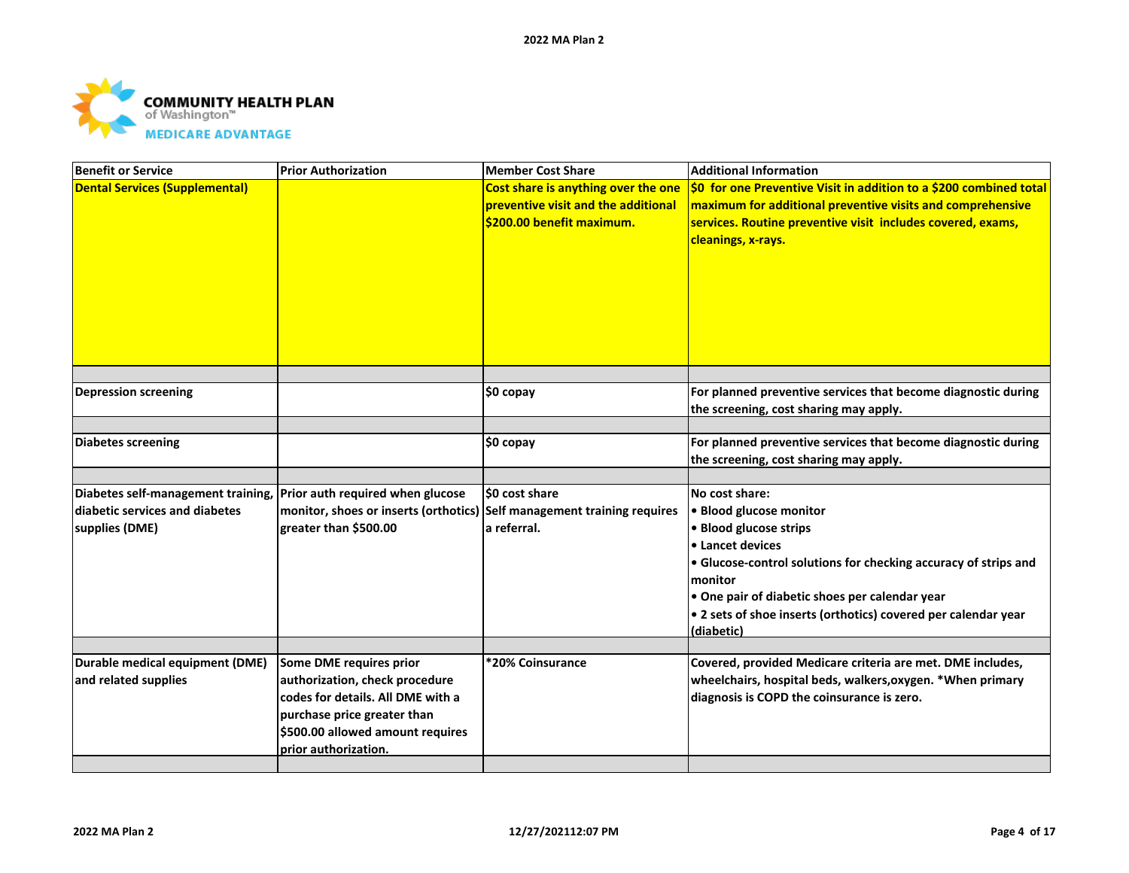

| <b>Benefit or Service</b>                                                                                               | <b>Prior Authorization</b>                                                                                                                                     | Member Cost Share                                                                                       | <b>Additional Information</b>                                                                                                                                                                                                                                                                           |
|-------------------------------------------------------------------------------------------------------------------------|----------------------------------------------------------------------------------------------------------------------------------------------------------------|---------------------------------------------------------------------------------------------------------|---------------------------------------------------------------------------------------------------------------------------------------------------------------------------------------------------------------------------------------------------------------------------------------------------------|
| <b>Dental Services (Supplemental)</b>                                                                                   |                                                                                                                                                                | Cost share is anything over the one<br>preventive visit and the additional<br>\$200.00 benefit maximum. | \$0 for one Preventive Visit in addition to a \$200 combined total<br>maximum for additional preventive visits and comprehensive<br>services. Routine preventive visit includes covered, exams,<br>cleanings, x-rays.                                                                                   |
| <b>Depression screening</b>                                                                                             |                                                                                                                                                                | ∣\$0 copay                                                                                              | For planned preventive services that become diagnostic during<br>the screening, cost sharing may apply.                                                                                                                                                                                                 |
|                                                                                                                         |                                                                                                                                                                |                                                                                                         |                                                                                                                                                                                                                                                                                                         |
| <b>Diabetes screening</b>                                                                                               |                                                                                                                                                                | \$0 copay                                                                                               | For planned preventive services that become diagnostic during<br>the screening, cost sharing may apply.                                                                                                                                                                                                 |
|                                                                                                                         |                                                                                                                                                                |                                                                                                         |                                                                                                                                                                                                                                                                                                         |
| Diabetes self-management training, Prior auth required when glucose<br>diabetic services and diabetes<br>supplies (DME) | monitor, shoes or inserts (orthotics) Self management training requires<br>greater than \$500.00                                                               | <b>SO cost share</b><br>la referral.                                                                    | No cost share:<br>· Blood glucose monitor<br>• Blood glucose strips<br>• Lancet devices<br>• Glucose-control solutions for checking accuracy of strips and<br>monitor<br>• One pair of diabetic shoes per calendar year<br>• 2 sets of shoe inserts (orthotics) covered per calendar year<br>(diabetic) |
| Durable medical equipment (DME)                                                                                         | Some DME requires prior                                                                                                                                        | *20% Coinsurance                                                                                        | Covered, provided Medicare criteria are met. DME includes,                                                                                                                                                                                                                                              |
| and related supplies                                                                                                    | authorization, check procedure<br>codes for details. All DME with a<br>purchase price greater than<br>\$500.00 allowed amount requires<br>prior authorization. |                                                                                                         | wheelchairs, hospital beds, walkers, oxygen. * When primary<br>diagnosis is COPD the coinsurance is zero.                                                                                                                                                                                               |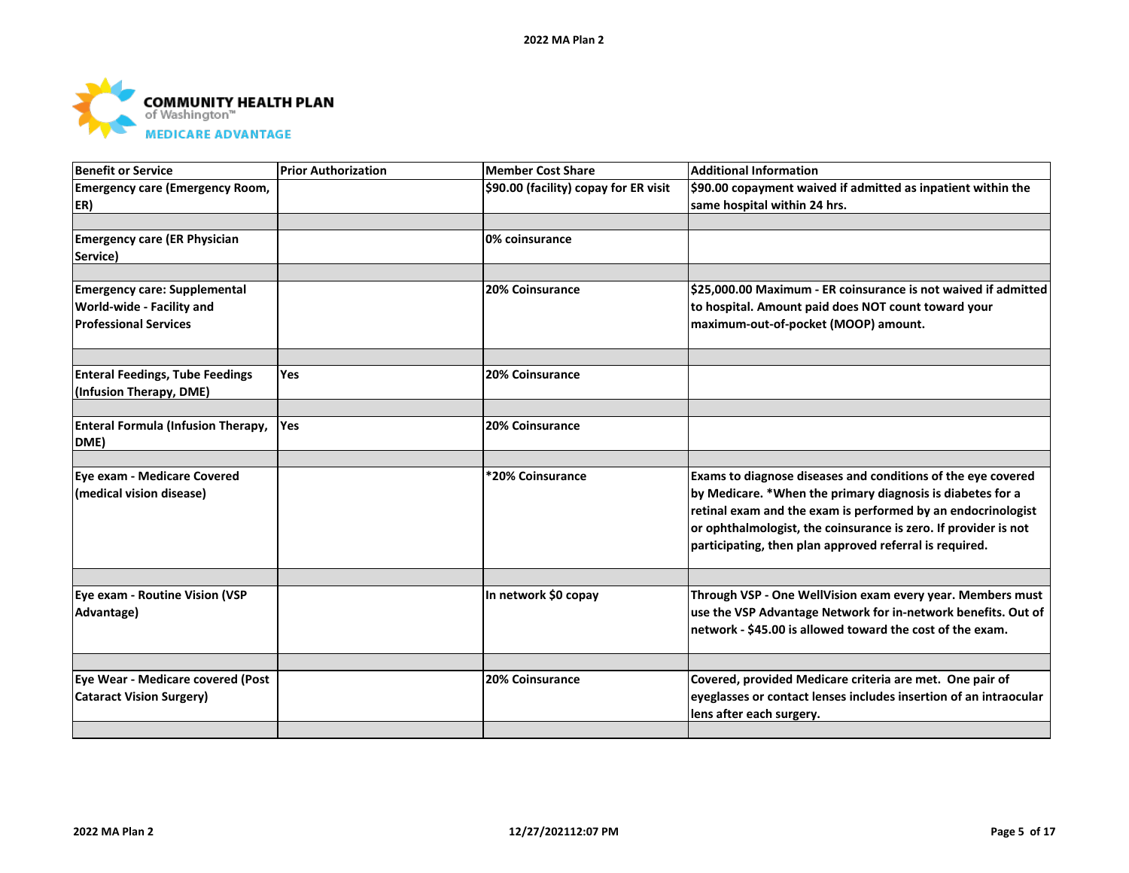

| Benefit or Service                        | <b>Prior Authorization</b> | Member Cost Share                     | <b>Additional Information</b>                                     |
|-------------------------------------------|----------------------------|---------------------------------------|-------------------------------------------------------------------|
| <b>Emergency care (Emergency Room,</b>    |                            | \$90.00 (facility) copay for ER visit | \$90.00 copayment waived if admitted as inpatient within the      |
| ER)                                       |                            |                                       | same hospital within 24 hrs.                                      |
|                                           |                            |                                       |                                                                   |
| <b>Emergency care (ER Physician</b>       |                            | 0% coinsurance                        |                                                                   |
| Service)                                  |                            |                                       |                                                                   |
|                                           |                            |                                       |                                                                   |
| <b>Emergency care: Supplemental</b>       |                            | <b>20% Coinsurance</b>                | \$25,000.00 Maximum - ER coinsurance is not waived if admitted    |
| World-wide - Facility and                 |                            |                                       | to hospital. Amount paid does NOT count toward your               |
| <b>Professional Services</b>              |                            |                                       | maximum-out-of-pocket (MOOP) amount.                              |
|                                           |                            |                                       |                                                                   |
| <b>Enteral Feedings, Tube Feedings</b>    | <b>Yes</b>                 | <b>20% Coinsurance</b>                |                                                                   |
| (Infusion Therapy, DME)                   |                            |                                       |                                                                   |
| <b>Enteral Formula (Infusion Therapy,</b> | Yes                        | 20% Coinsurance                       |                                                                   |
| DME)                                      |                            |                                       |                                                                   |
|                                           |                            |                                       |                                                                   |
| Eye exam - Medicare Covered               |                            | *20% Coinsurance                      | Exams to diagnose diseases and conditions of the eye covered      |
| (medical vision disease)                  |                            |                                       | by Medicare. *When the primary diagnosis is diabetes for a        |
|                                           |                            |                                       | retinal exam and the exam is performed by an endocrinologist      |
|                                           |                            |                                       | or ophthalmologist, the coinsurance is zero. If provider is not   |
|                                           |                            |                                       | participating, then plan approved referral is required.           |
|                                           |                            |                                       |                                                                   |
|                                           |                            |                                       |                                                                   |
| Eye exam - Routine Vision (VSP            |                            | In network \$0 copay                  | Through VSP - One WellVision exam every year. Members must        |
| Advantage)                                |                            |                                       | use the VSP Advantage Network for in-network benefits. Out of     |
|                                           |                            |                                       | network - \$45.00 is allowed toward the cost of the exam.         |
|                                           |                            |                                       |                                                                   |
| Eye Wear - Medicare covered (Post         |                            | <b>20% Coinsurance</b>                | Covered, provided Medicare criteria are met. One pair of          |
| <b>Cataract Vision Surgery)</b>           |                            |                                       | eyeglasses or contact lenses includes insertion of an intraocular |
|                                           |                            |                                       | lens after each surgery.                                          |
|                                           |                            |                                       |                                                                   |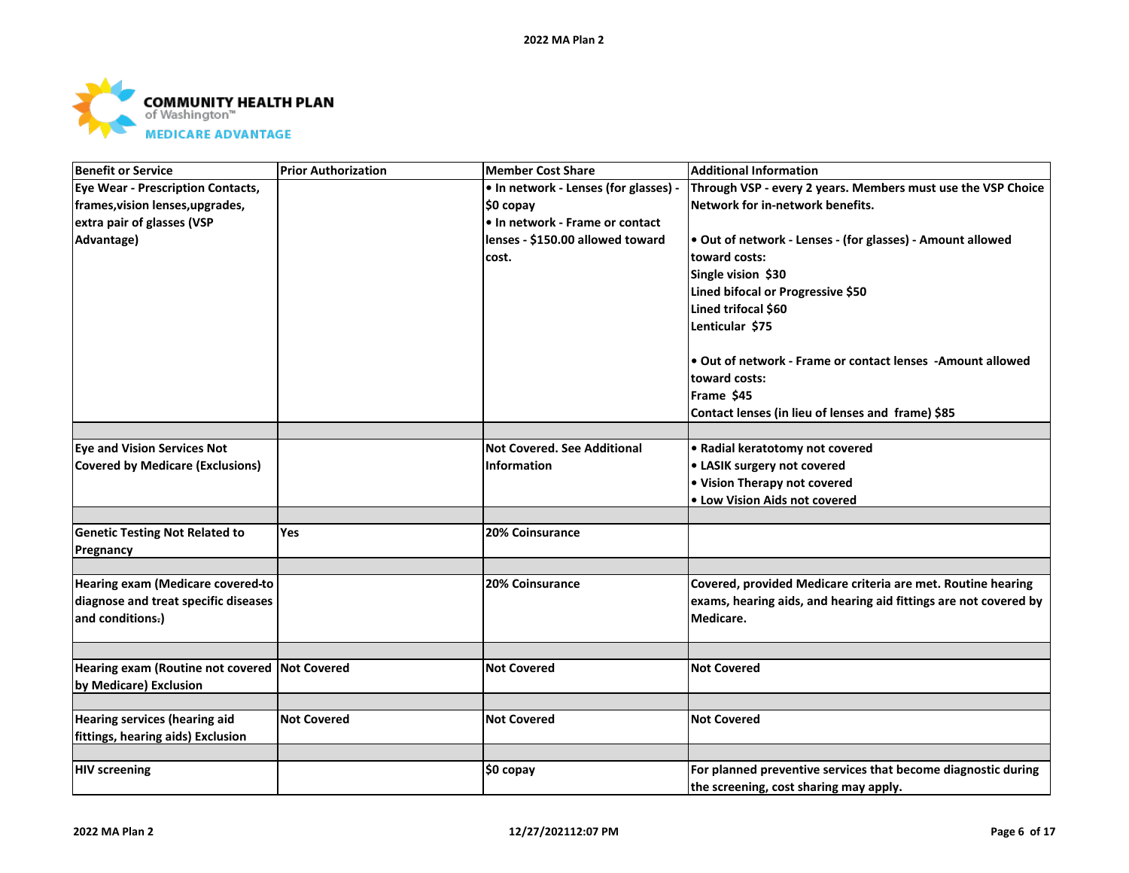

| <b>Benefit or Service</b>                                | <b>Prior Authorization</b> | Member Cost Share                     | <b>Additional Information</b>                                                 |
|----------------------------------------------------------|----------------------------|---------------------------------------|-------------------------------------------------------------------------------|
| Eye Wear - Prescription Contacts,                        |                            | • In network - Lenses (for glasses) - | Through VSP - every 2 years. Members must use the VSP Choice                  |
| frames, vision lenses, upgrades,                         |                            | ∣\$0 copay                            | Network for in-network benefits.                                              |
| extra pair of glasses (VSP                               |                            | • In network - Frame or contact       |                                                                               |
| Advantage)                                               |                            | lenses - \$150.00 allowed toward      | • Out of network - Lenses - (for glasses) - Amount allowed                    |
|                                                          |                            | cost.                                 | toward costs:                                                                 |
|                                                          |                            |                                       | Single vision \$30                                                            |
|                                                          |                            |                                       | Lined bifocal or Progressive \$50                                             |
|                                                          |                            |                                       | Lined trifocal \$60                                                           |
|                                                          |                            |                                       | Lenticular \$75                                                               |
|                                                          |                            |                                       | • Out of network - Frame or contact lenses - Amount allowed                   |
|                                                          |                            |                                       | toward costs:                                                                 |
|                                                          |                            |                                       | Frame \$45                                                                    |
|                                                          |                            |                                       | Contact lenses (in lieu of lenses and frame) \$85                             |
|                                                          |                            |                                       |                                                                               |
| <b>Eye and Vision Services Not</b>                       |                            | <b>Not Covered. See Additional</b>    | • Radial keratotomy not covered                                               |
| <b>Covered by Medicare (Exclusions)</b>                  |                            | Information                           | • LASIK surgery not covered                                                   |
|                                                          |                            |                                       | • Vision Therapy not covered                                                  |
|                                                          |                            |                                       | • Low Vision Aids not covered                                                 |
|                                                          |                            |                                       |                                                                               |
| <b>Genetic Testing Not Related to</b>                    | <b>Yes</b>                 | <b>20% Coinsurance</b>                |                                                                               |
| Pregnancy                                                |                            |                                       |                                                                               |
|                                                          |                            |                                       |                                                                               |
| Hearing exam (Medicare covered-to                        |                            | 20% Coinsurance                       | Covered, provided Medicare criteria are met. Routine hearing                  |
| diagnose and treat specific diseases<br>and conditions.) |                            |                                       | exams, hearing aids, and hearing aid fittings are not covered by<br>Medicare. |
|                                                          |                            |                                       |                                                                               |
|                                                          |                            |                                       |                                                                               |
| Hearing exam (Routine not covered Not Covered            |                            | <b>Not Covered</b>                    | <b>Not Covered</b>                                                            |
| by Medicare) Exclusion                                   |                            |                                       |                                                                               |
|                                                          |                            |                                       |                                                                               |
| <b>Hearing services (hearing aid</b>                     | <b>Not Covered</b>         | <b>Not Covered</b>                    | <b>Not Covered</b>                                                            |
| fittings, hearing aids) Exclusion                        |                            |                                       |                                                                               |
|                                                          |                            |                                       |                                                                               |
| <b>HIV screening</b>                                     |                            | \$0 copay                             | For planned preventive services that become diagnostic during                 |
|                                                          |                            |                                       | the screening, cost sharing may apply.                                        |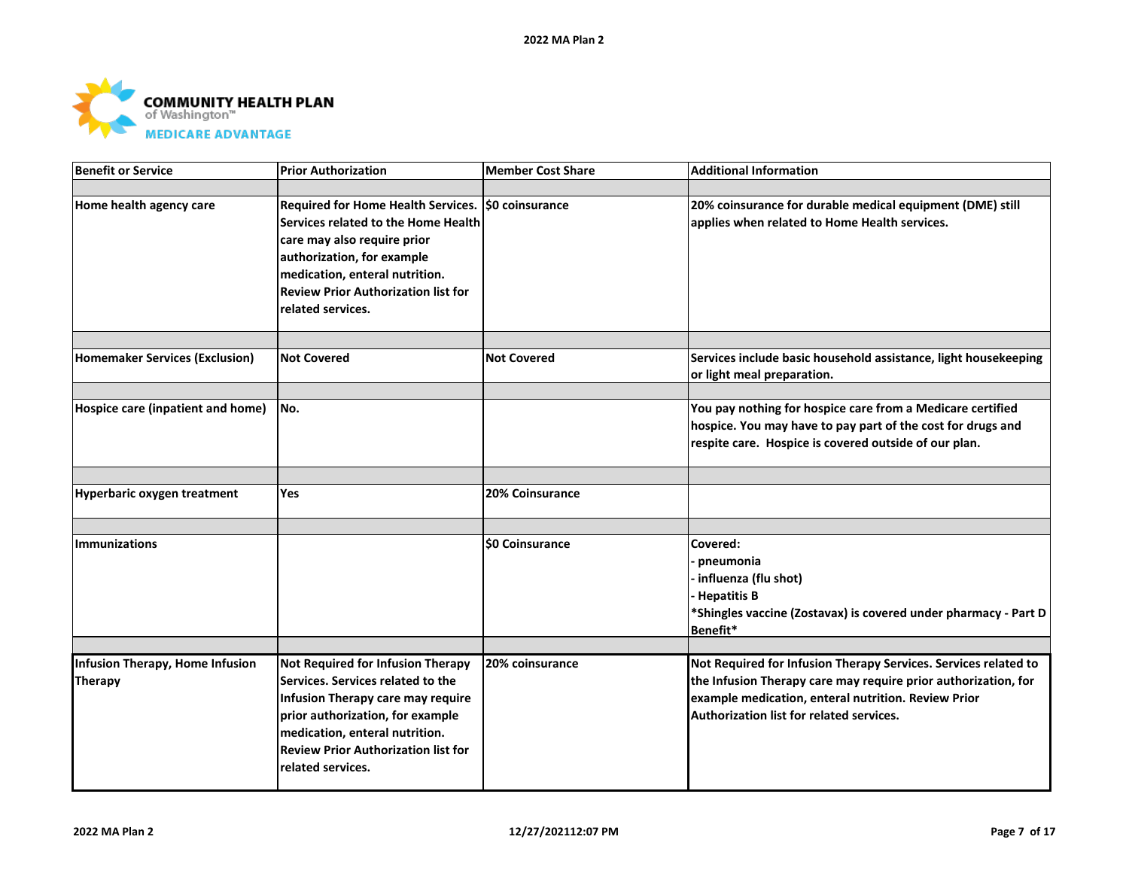

| <b>Benefit or Service</b>                  | <b>Prior Authorization</b>                                                                                                                                                                                                                                    | Member Cost Share      | <b>Additional Information</b>                                                                                                                                                                                                        |
|--------------------------------------------|---------------------------------------------------------------------------------------------------------------------------------------------------------------------------------------------------------------------------------------------------------------|------------------------|--------------------------------------------------------------------------------------------------------------------------------------------------------------------------------------------------------------------------------------|
|                                            |                                                                                                                                                                                                                                                               |                        |                                                                                                                                                                                                                                      |
| Home health agency care                    | Required for Home Health Services.   \$0 coinsurance<br>Services related to the Home Health<br>care may also require prior<br>authorization, for example<br>medication, enteral nutrition.<br><b>Review Prior Authorization list for</b><br>related services. |                        | 20% coinsurance for durable medical equipment (DME) still<br>applies when related to Home Health services.                                                                                                                           |
|                                            |                                                                                                                                                                                                                                                               |                        |                                                                                                                                                                                                                                      |
| <b>Homemaker Services (Exclusion)</b>      | <b>Not Covered</b>                                                                                                                                                                                                                                            | <b>Not Covered</b>     | Services include basic household assistance, light housekeeping<br>or light meal preparation.                                                                                                                                        |
|                                            |                                                                                                                                                                                                                                                               |                        |                                                                                                                                                                                                                                      |
| Hospice care (inpatient and home)          | No.                                                                                                                                                                                                                                                           |                        | You pay nothing for hospice care from a Medicare certified<br>hospice. You may have to pay part of the cost for drugs and<br>respite care. Hospice is covered outside of our plan.                                                   |
|                                            |                                                                                                                                                                                                                                                               |                        |                                                                                                                                                                                                                                      |
| <b>Hyperbaric oxygen treatment</b>         | Yes                                                                                                                                                                                                                                                           | <b>20% Coinsurance</b> |                                                                                                                                                                                                                                      |
|                                            |                                                                                                                                                                                                                                                               |                        |                                                                                                                                                                                                                                      |
| <b>Immunizations</b>                       |                                                                                                                                                                                                                                                               | <b>SO Coinsurance</b>  | Covered:<br>pneumonia<br>- influenza (flu shot)<br><b>Hepatitis B</b><br>*Shingles vaccine (Zostavax) is covered under pharmacy - Part D<br>Benefit*                                                                                 |
|                                            |                                                                                                                                                                                                                                                               |                        |                                                                                                                                                                                                                                      |
| Infusion Therapy, Home Infusion<br>Therapy | Not Required for Infusion Therapy<br>Services. Services related to the<br>Infusion Therapy care may require<br>prior authorization, for example<br>medication, enteral nutrition.<br><b>Review Prior Authorization list for</b><br>related services.          | 20% coinsurance        | Not Required for Infusion Therapy Services. Services related to<br>the Infusion Therapy care may require prior authorization, for<br>example medication, enteral nutrition. Review Prior<br>Authorization list for related services. |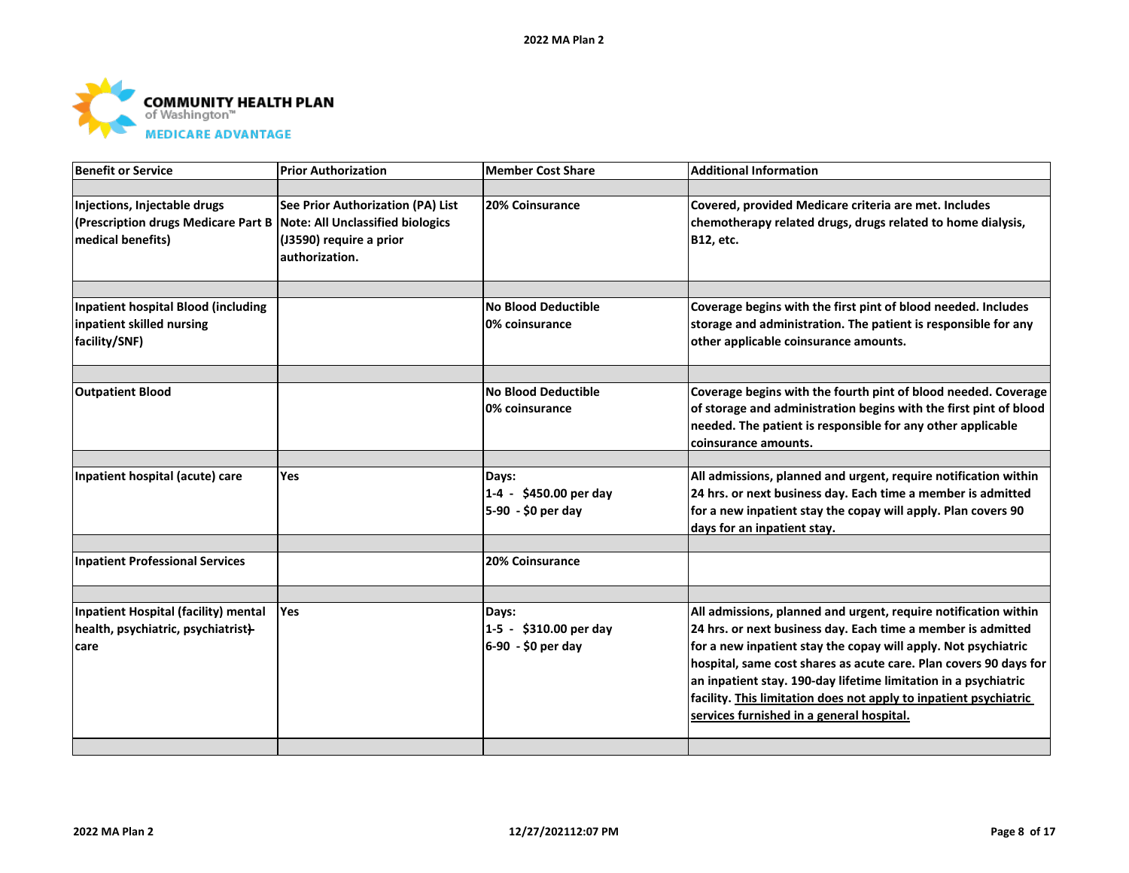

| Benefit or Service                                                                       | <b>Prior Authorization</b>                                                                                                | <b>Member Cost Share</b>                              | <b>Additional Information</b>                                                                                                                                                                                                                                                                                                                                                                                                                               |
|------------------------------------------------------------------------------------------|---------------------------------------------------------------------------------------------------------------------------|-------------------------------------------------------|-------------------------------------------------------------------------------------------------------------------------------------------------------------------------------------------------------------------------------------------------------------------------------------------------------------------------------------------------------------------------------------------------------------------------------------------------------------|
|                                                                                          |                                                                                                                           |                                                       |                                                                                                                                                                                                                                                                                                                                                                                                                                                             |
| Injections, Injectable drugs<br>(Prescription drugs Medicare Part B<br>medical benefits) | See Prior Authorization (PA) List<br><b>Note: All Unclassified biologics</b><br>(J3590) require a prior<br>authorization. | 20% Coinsurance                                       | Covered, provided Medicare criteria are met. Includes<br>chemotherapy related drugs, drugs related to home dialysis,<br>B12, etc.                                                                                                                                                                                                                                                                                                                           |
|                                                                                          |                                                                                                                           |                                                       |                                                                                                                                                                                                                                                                                                                                                                                                                                                             |
| <b>Inpatient hospital Blood (including</b><br>inpatient skilled nursing                  |                                                                                                                           | <b>No Blood Deductible</b><br>0% coinsurance          | Coverage begins with the first pint of blood needed. Includes<br>storage and administration. The patient is responsible for any                                                                                                                                                                                                                                                                                                                             |
| facility/SNF)                                                                            |                                                                                                                           |                                                       | other applicable coinsurance amounts.                                                                                                                                                                                                                                                                                                                                                                                                                       |
|                                                                                          |                                                                                                                           |                                                       |                                                                                                                                                                                                                                                                                                                                                                                                                                                             |
| <b>Outpatient Blood</b>                                                                  |                                                                                                                           | <b>No Blood Deductible</b><br>0% coinsurance          | Coverage begins with the fourth pint of blood needed. Coverage<br>of storage and administration begins with the first pint of blood<br>needed. The patient is responsible for any other applicable<br>coinsurance amounts.                                                                                                                                                                                                                                  |
|                                                                                          |                                                                                                                           |                                                       |                                                                                                                                                                                                                                                                                                                                                                                                                                                             |
| Inpatient hospital (acute) care                                                          | Yes                                                                                                                       | Days:<br>1-4 - \$450.00 per day<br>5-90 - \$0 per day | All admissions, planned and urgent, require notification within<br>24 hrs. or next business day. Each time a member is admitted<br>for a new inpatient stay the copay will apply. Plan covers 90<br>days for an inpatient stay.                                                                                                                                                                                                                             |
|                                                                                          |                                                                                                                           |                                                       |                                                                                                                                                                                                                                                                                                                                                                                                                                                             |
| <b>Inpatient Professional Services</b>                                                   |                                                                                                                           | 20% Coinsurance                                       |                                                                                                                                                                                                                                                                                                                                                                                                                                                             |
|                                                                                          |                                                                                                                           |                                                       |                                                                                                                                                                                                                                                                                                                                                                                                                                                             |
| Inpatient Hospital (facility) mental<br>health, psychiatric, psychiatrist}-<br>care      | <b>Yes</b>                                                                                                                | Days:<br>1-5 - \$310.00 per day<br>6-90 - \$0 per day | All admissions, planned and urgent, require notification within<br>24 hrs. or next business day. Each time a member is admitted<br>for a new inpatient stay the copay will apply. Not psychiatric<br>hospital, same cost shares as acute care. Plan covers 90 days for<br>an inpatient stay. 190-day lifetime limitation in a psychiatric<br>facility. This limitation does not apply to inpatient psychiatric<br>services furnished in a general hospital. |
|                                                                                          |                                                                                                                           |                                                       |                                                                                                                                                                                                                                                                                                                                                                                                                                                             |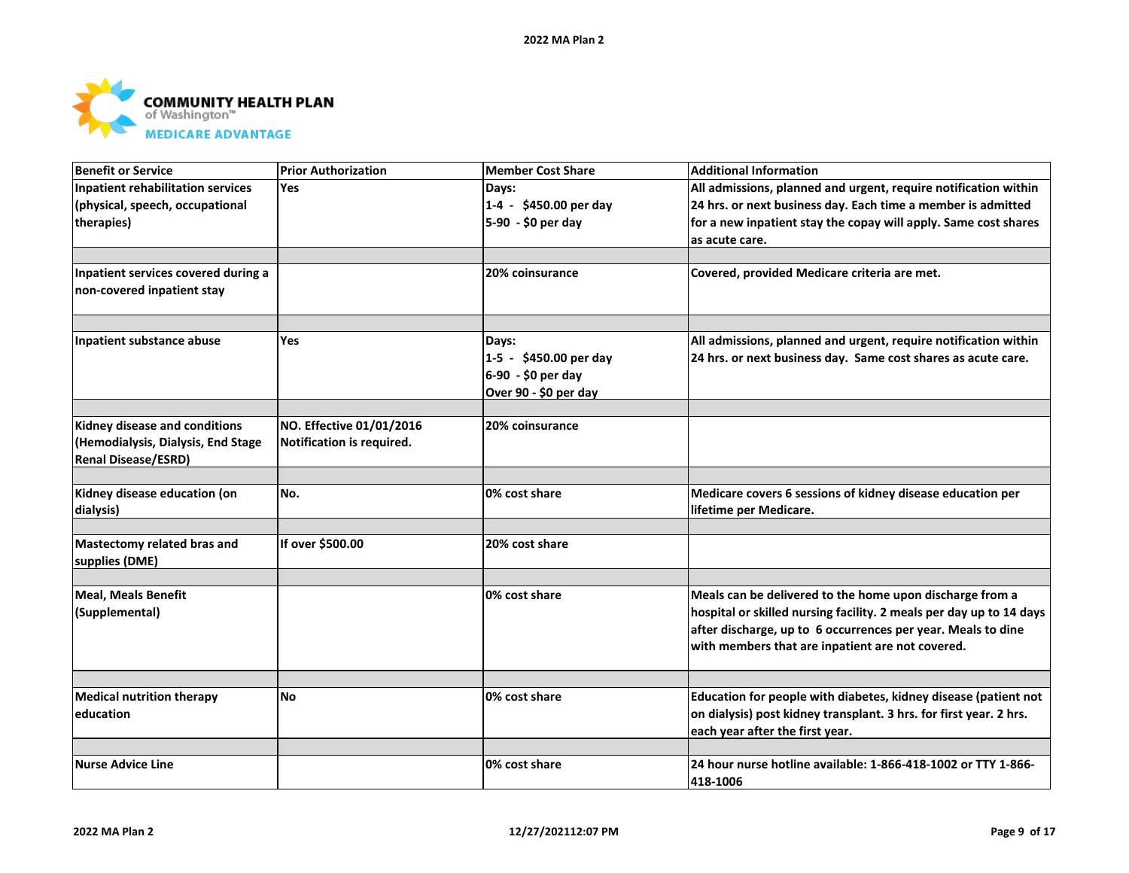

| <b>Benefit or Service</b>                | <b>Prior Authorization</b> | <b>Member Cost Share</b> | <b>Additional Information</b>                                       |
|------------------------------------------|----------------------------|--------------------------|---------------------------------------------------------------------|
| <b>Inpatient rehabilitation services</b> | <b>Yes</b>                 | Days:                    | All admissions, planned and urgent, require notification within     |
| (physical, speech, occupational          |                            | 1-4 - \$450.00 per day   | 24 hrs. or next business day. Each time a member is admitted        |
| therapies)                               |                            | 5-90 - \$0 per day       | for a new inpatient stay the copay will apply. Same cost shares     |
|                                          |                            |                          | as acute care.                                                      |
|                                          |                            |                          |                                                                     |
| Inpatient services covered during a      |                            | <b>20% coinsurance</b>   | Covered, provided Medicare criteria are met.                        |
| non-covered inpatient stay               |                            |                          |                                                                     |
|                                          |                            |                          |                                                                     |
|                                          |                            |                          |                                                                     |
| Inpatient substance abuse                | <b>Yes</b>                 | Days:                    | All admissions, planned and urgent, require notification within     |
|                                          |                            | 1-5 - \$450.00 per day   | 24 hrs. or next business day. Same cost shares as acute care.       |
|                                          |                            | 6-90 - \$0 per day       |                                                                     |
|                                          |                            | Over 90 - \$0 per day    |                                                                     |
|                                          |                            |                          |                                                                     |
| Kidney disease and conditions            | NO. Effective 01/01/2016   | 20% coinsurance          |                                                                     |
| (Hemodialysis, Dialysis, End Stage       | Notification is required.  |                          |                                                                     |
| <b>Renal Disease/ESRD)</b>               |                            |                          |                                                                     |
|                                          |                            |                          |                                                                     |
| Kidney disease education (on             | No.                        | 0% cost share            | Medicare covers 6 sessions of kidney disease education per          |
| dialysis)                                |                            |                          | lifetime per Medicare.                                              |
|                                          |                            |                          |                                                                     |
| Mastectomy related bras and              | If over \$500.00           | 20% cost share           |                                                                     |
| supplies (DME)                           |                            |                          |                                                                     |
|                                          |                            | 0% cost share            | Meals can be delivered to the home upon discharge from a            |
| <b>Meal, Meals Benefit</b>               |                            |                          |                                                                     |
| (Supplemental)                           |                            |                          | hospital or skilled nursing facility. 2 meals per day up to 14 days |
|                                          |                            |                          | after discharge, up to 6 occurrences per year. Meals to dine        |
|                                          |                            |                          | with members that are inpatient are not covered.                    |
|                                          |                            |                          |                                                                     |
| <b>Medical nutrition therapy</b>         | No                         | 0% cost share            | Education for people with diabetes, kidney disease (patient not     |
| education                                |                            |                          | on dialysis) post kidney transplant. 3 hrs. for first year. 2 hrs.  |
|                                          |                            |                          | each year after the first year.                                     |
|                                          |                            |                          |                                                                     |
| <b>Nurse Advice Line</b>                 |                            | 0% cost share            | 24 hour nurse hotline available: 1-866-418-1002 or TTY 1-866-       |
|                                          |                            |                          | 418-1006                                                            |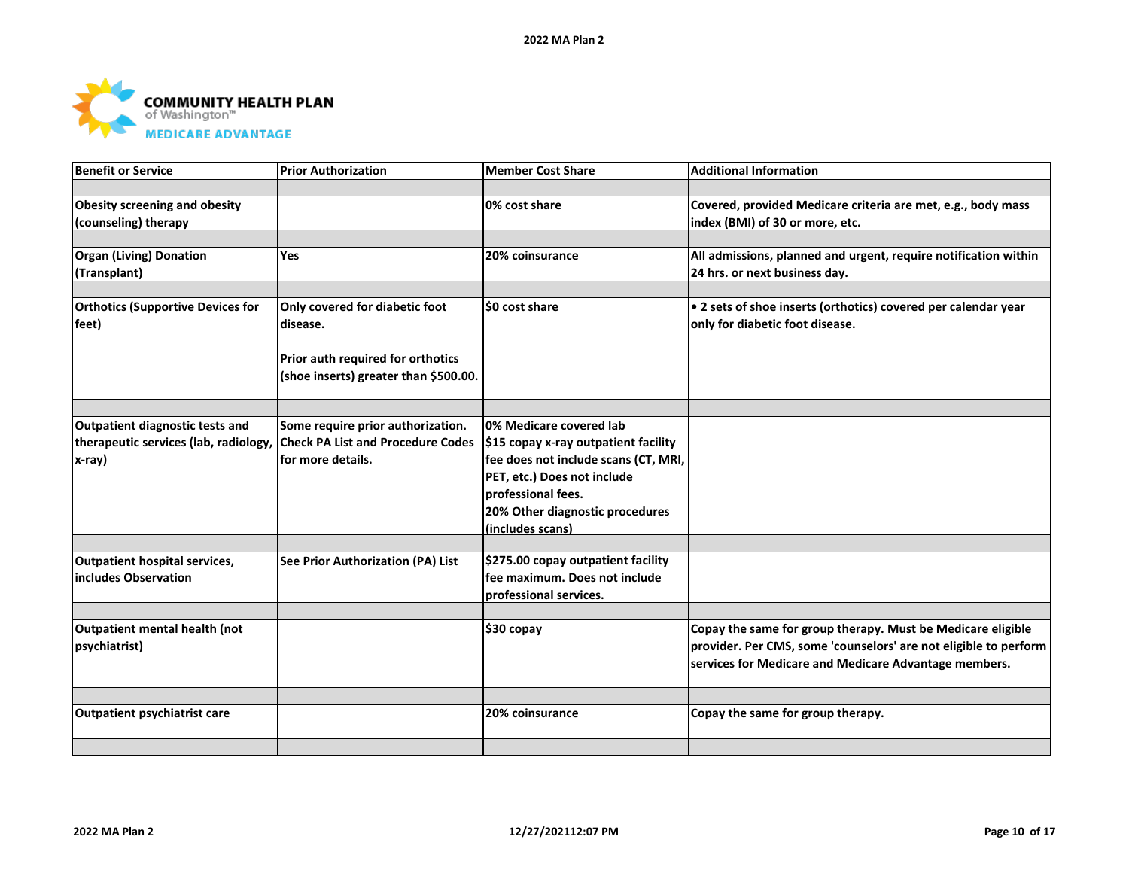

| <b>Benefit or Service</b>                | <b>Prior Authorization</b>               | <b>Member Cost Share</b>             | <b>Additional Information</b>                                    |
|------------------------------------------|------------------------------------------|--------------------------------------|------------------------------------------------------------------|
|                                          |                                          |                                      |                                                                  |
| <b>Obesity screening and obesity</b>     |                                          | 0% cost share                        | Covered, provided Medicare criteria are met, e.g., body mass     |
| (counseling) therapy                     |                                          |                                      | index (BMI) of 30 or more, etc.                                  |
|                                          |                                          |                                      |                                                                  |
| <b>Organ (Living) Donation</b>           | Yes                                      | 20% coinsurance                      | All admissions, planned and urgent, require notification within  |
| (Transplant)                             |                                          |                                      | 24 hrs. or next business day.                                    |
|                                          |                                          |                                      |                                                                  |
| <b>Orthotics (Supportive Devices for</b> | Only covered for diabetic foot           | \$0 cost share                       | . 2 sets of shoe inserts (orthotics) covered per calendar year   |
| feet)                                    | disease.                                 |                                      | only for diabetic foot disease.                                  |
|                                          |                                          |                                      |                                                                  |
|                                          | Prior auth required for orthotics        |                                      |                                                                  |
|                                          | (shoe inserts) greater than \$500.00.    |                                      |                                                                  |
|                                          |                                          |                                      |                                                                  |
|                                          |                                          |                                      |                                                                  |
| Outpatient diagnostic tests and          | Some require prior authorization.        | 0% Medicare covered lab              |                                                                  |
| therapeutic services (lab, radiology,    | <b>Check PA List and Procedure Codes</b> | \$15 copay x-ray outpatient facility |                                                                  |
| x-ray)                                   | for more details.                        | fee does not include scans (CT, MRI, |                                                                  |
|                                          |                                          | PET, etc.) Does not include          |                                                                  |
|                                          |                                          | professional fees.                   |                                                                  |
|                                          |                                          | 20% Other diagnostic procedures      |                                                                  |
|                                          |                                          | (includes scans)                     |                                                                  |
|                                          |                                          |                                      |                                                                  |
| <b>Outpatient hospital services,</b>     | See Prior Authorization (PA) List        | \$275.00 copay outpatient facility   |                                                                  |
| includes Observation                     |                                          | fee maximum. Does not include        |                                                                  |
|                                          |                                          | professional services.               |                                                                  |
|                                          |                                          |                                      |                                                                  |
| Outpatient mental health (not            |                                          | \$30 copay                           | Copay the same for group therapy. Must be Medicare eligible      |
| psychiatrist)                            |                                          |                                      | provider. Per CMS, some 'counselors' are not eligible to perform |
|                                          |                                          |                                      | services for Medicare and Medicare Advantage members.            |
|                                          |                                          |                                      |                                                                  |
|                                          |                                          |                                      |                                                                  |
| Outpatient psychiatrist care             |                                          | 20% coinsurance                      | Copay the same for group therapy.                                |
|                                          |                                          |                                      |                                                                  |
|                                          |                                          |                                      |                                                                  |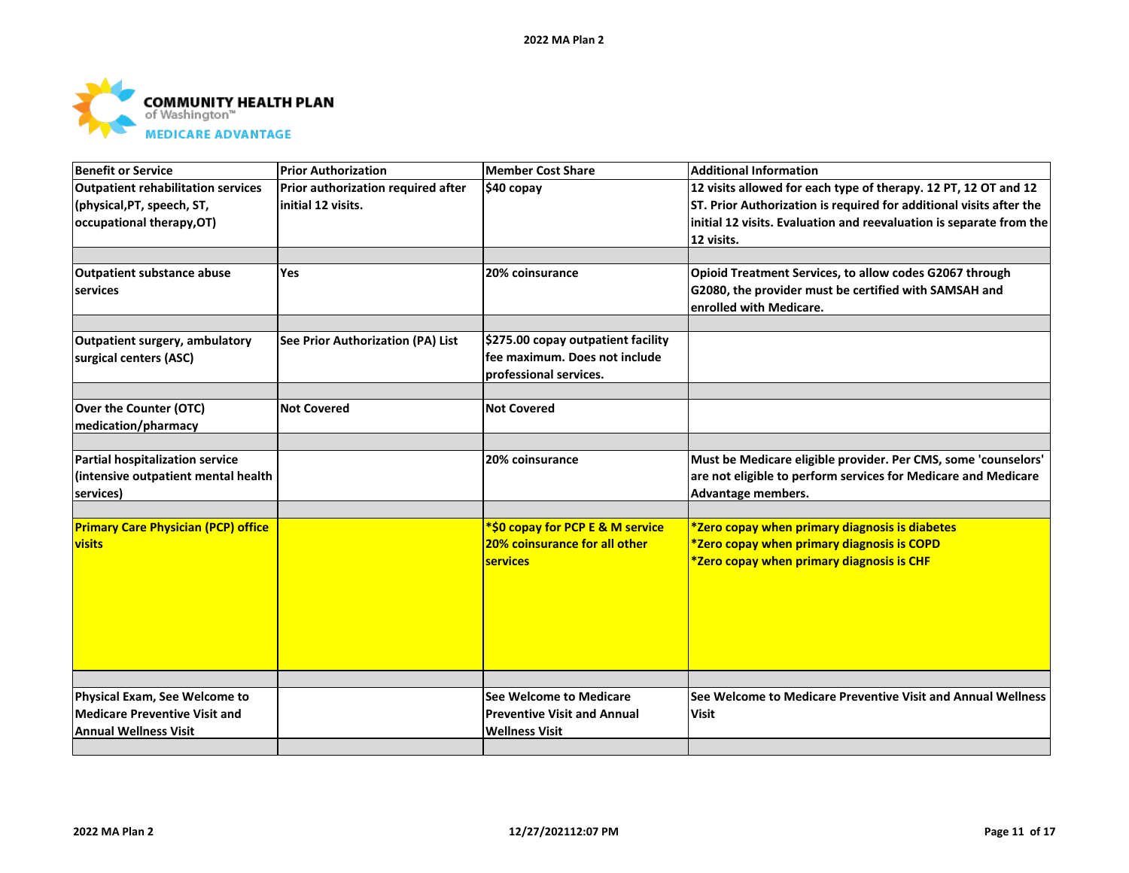

| Benefit or Service                         | <b>Prior Authorization</b>         | Member Cost Share                  | <b>Additional Information</b>                                       |
|--------------------------------------------|------------------------------------|------------------------------------|---------------------------------------------------------------------|
| Outpatient rehabilitation services         | Prior authorization required after | $$40$ copay                        | 12 visits allowed for each type of therapy. 12 PT, 12 OT and 12     |
| (physical, PT, speech, ST,                 | initial 12 visits.                 |                                    | ST. Prior Authorization is required for additional visits after the |
| occupational therapy, OT)                  |                                    |                                    | initial 12 visits. Evaluation and reevaluation is separate from the |
|                                            |                                    |                                    | 12 visits.                                                          |
|                                            |                                    |                                    |                                                                     |
| <b>Outpatient substance abuse</b>          | <b>Yes</b>                         | 20% coinsurance                    | Opioid Treatment Services, to allow codes G2067 through             |
| services                                   |                                    |                                    | G2080, the provider must be certified with SAMSAH and               |
|                                            |                                    |                                    | enrolled with Medicare.                                             |
|                                            |                                    |                                    |                                                                     |
| <b>Outpatient surgery, ambulatory</b>      | See Prior Authorization (PA) List  | \$275.00 copay outpatient facility |                                                                     |
| surgical centers (ASC)                     |                                    | lfee maximum. Does not include     |                                                                     |
|                                            |                                    | professional services.             |                                                                     |
|                                            |                                    |                                    |                                                                     |
| Over the Counter (OTC)                     | <b>Not Covered</b>                 | <b>Not Covered</b>                 |                                                                     |
| medication/pharmacy                        |                                    |                                    |                                                                     |
| <b>Partial hospitalization service</b>     |                                    | 20% coinsurance                    | Must be Medicare eligible provider. Per CMS, some 'counselors'      |
| (intensive outpatient mental health        |                                    |                                    | are not eligible to perform services for Medicare and Medicare      |
| services)                                  |                                    |                                    | Advantage members.                                                  |
|                                            |                                    |                                    |                                                                     |
| <b>Primary Care Physician (PCP) office</b> |                                    | *\$0 copay for PCP E & M service   | *Zero copay when primary diagnosis is diabetes                      |
| <b>visits</b>                              |                                    | 20% coinsurance for all other      | *Zero copay when primary diagnosis is COPD                          |
|                                            |                                    | <b>services</b>                    | *Zero copay when primary diagnosis is CHF                           |
|                                            |                                    |                                    |                                                                     |
|                                            |                                    |                                    |                                                                     |
|                                            |                                    |                                    |                                                                     |
|                                            |                                    |                                    |                                                                     |
|                                            |                                    |                                    |                                                                     |
|                                            |                                    |                                    |                                                                     |
|                                            |                                    |                                    |                                                                     |
| Physical Exam, See Welcome to              |                                    | See Welcome to Medicare            | See Welcome to Medicare Preventive Visit and Annual Wellness        |
| Medicare Preventive Visit and              |                                    | <b>Preventive Visit and Annual</b> | <b>Visit</b>                                                        |
| <b>Annual Wellness Visit</b>               |                                    | <b>Wellness Visit</b>              |                                                                     |
|                                            |                                    |                                    |                                                                     |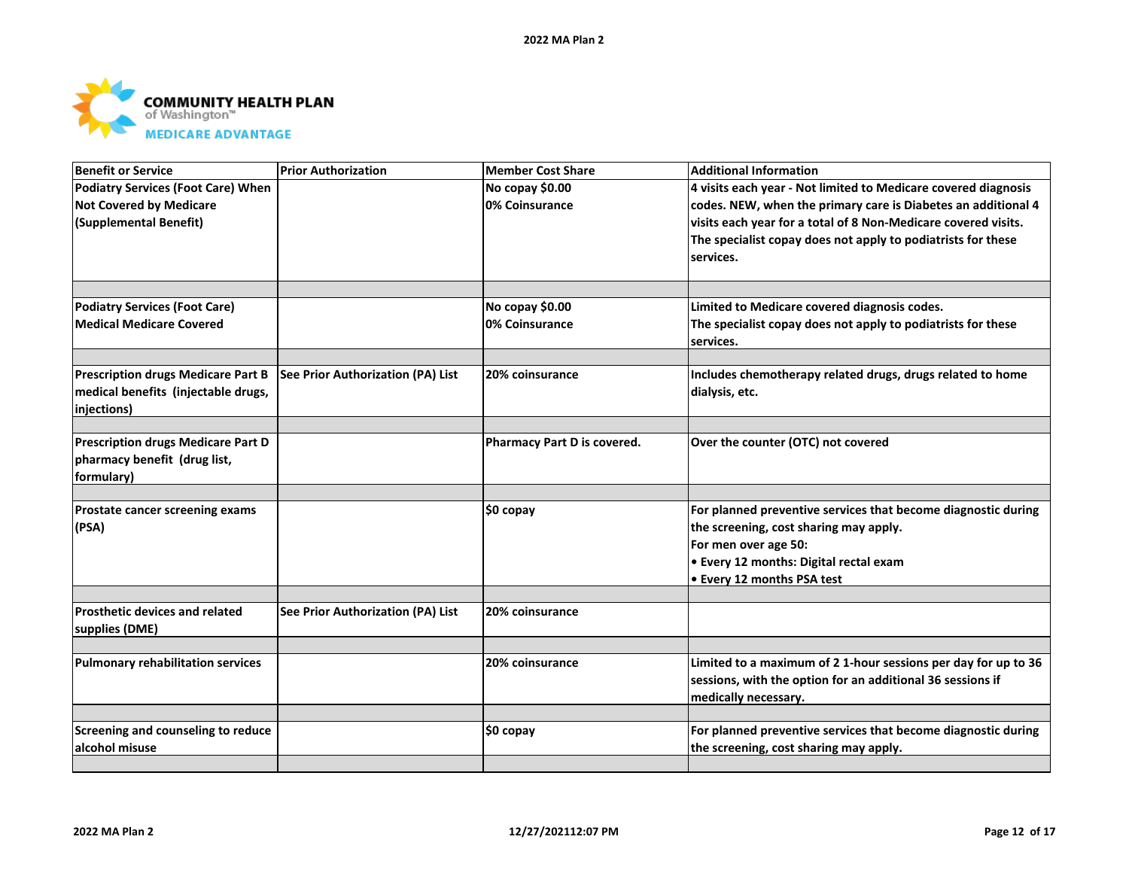

| <b>Benefit or Service</b>                 | <b>Prior Authorization</b>        | <b>Member Cost Share</b>    | <b>Additional Information</b>                                             |
|-------------------------------------------|-----------------------------------|-----------------------------|---------------------------------------------------------------------------|
| <b>Podiatry Services (Foot Care) When</b> |                                   | No copay \$0.00             | 4 visits each year - Not limited to Medicare covered diagnosis            |
| <b>Not Covered by Medicare</b>            |                                   | 0% Coinsurance              | codes. NEW, when the primary care is Diabetes an additional 4             |
| (Supplemental Benefit)                    |                                   |                             | visits each year for a total of 8 Non-Medicare covered visits.            |
|                                           |                                   |                             | The specialist copay does not apply to podiatrists for these              |
|                                           |                                   |                             | services.                                                                 |
|                                           |                                   |                             |                                                                           |
| <b>Podiatry Services (Foot Care)</b>      |                                   | No copay \$0.00             | Limited to Medicare covered diagnosis codes.                              |
| <b>Medical Medicare Covered</b>           |                                   | 0% Coinsurance              | The specialist copay does not apply to podiatrists for these<br>services. |
|                                           |                                   |                             |                                                                           |
| <b>Prescription drugs Medicare Part B</b> | See Prior Authorization (PA) List | 20% coinsurance             | Includes chemotherapy related drugs, drugs related to home                |
| medical benefits (injectable drugs,       |                                   |                             | dialysis, etc.                                                            |
| injections)                               |                                   |                             |                                                                           |
|                                           |                                   |                             |                                                                           |
| <b>Prescription drugs Medicare Part D</b> |                                   | Pharmacy Part D is covered. | Over the counter (OTC) not covered                                        |
| pharmacy benefit (drug list,              |                                   |                             |                                                                           |
| formulary)                                |                                   |                             |                                                                           |
| Prostate cancer screening exams           |                                   | $$0$ copay                  | For planned preventive services that become diagnostic during             |
| (PSA)                                     |                                   |                             | the screening, cost sharing may apply.                                    |
|                                           |                                   |                             | For men over age 50:                                                      |
|                                           |                                   |                             | • Every 12 months: Digital rectal exam                                    |
|                                           |                                   |                             | • Every 12 months PSA test                                                |
|                                           |                                   |                             |                                                                           |
| <b>Prosthetic devices and related</b>     | See Prior Authorization (PA) List | 20% coinsurance             |                                                                           |
| supplies (DME)                            |                                   |                             |                                                                           |
| <b>Pulmonary rehabilitation services</b>  |                                   | 20% coinsurance             | Limited to a maximum of 2 1-hour sessions per day for up to 36            |
|                                           |                                   |                             | sessions, with the option for an additional 36 sessions if                |
|                                           |                                   |                             | medically necessary.                                                      |
|                                           |                                   |                             |                                                                           |
| Screening and counseling to reduce        |                                   | \$0 copay                   | For planned preventive services that become diagnostic during             |
| alcohol misuse                            |                                   |                             | the screening, cost sharing may apply.                                    |
|                                           |                                   |                             |                                                                           |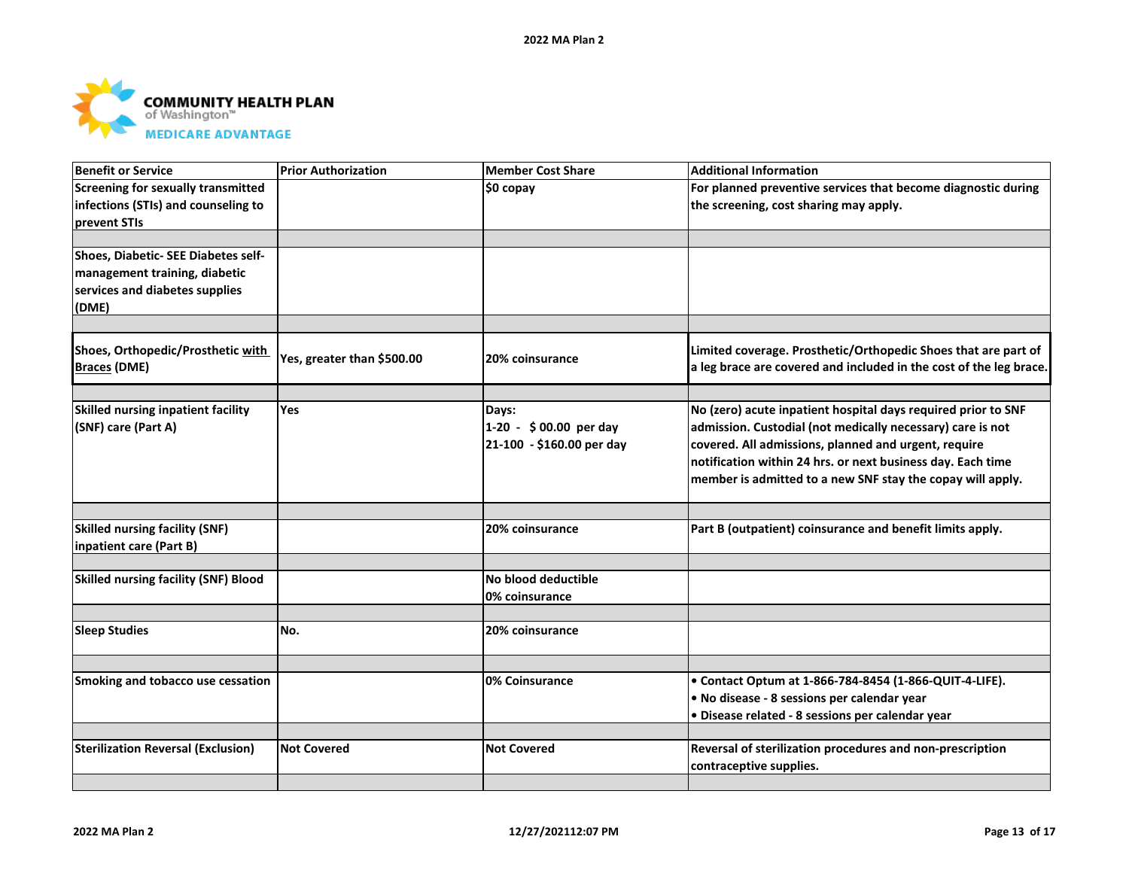

| <b>Benefit or Service</b>                   | <b>Prior Authorization</b> | <b>Member Cost Share</b>  | <b>Additional Information</b>                                      |
|---------------------------------------------|----------------------------|---------------------------|--------------------------------------------------------------------|
| <b>Screening for sexually transmitted</b>   |                            | \$0 copay                 | For planned preventive services that become diagnostic during      |
| infections (STIs) and counseling to         |                            |                           | the screening, cost sharing may apply.                             |
| prevent STIs                                |                            |                           |                                                                    |
|                                             |                            |                           |                                                                    |
| Shoes, Diabetic- SEE Diabetes self-         |                            |                           |                                                                    |
| management training, diabetic               |                            |                           |                                                                    |
| services and diabetes supplies              |                            |                           |                                                                    |
| (DME)                                       |                            |                           |                                                                    |
|                                             |                            |                           |                                                                    |
| Shoes, Orthopedic/Prosthetic with           | Yes, greater than \$500.00 | 20% coinsurance           | Limited coverage. Prosthetic/Orthopedic Shoes that are part of     |
| <b>Braces (DME)</b>                         |                            |                           | a leg brace are covered and included in the cost of the leg brace. |
|                                             |                            |                           |                                                                    |
| Skilled nursing inpatient facility          | <b>Yes</b>                 | Days:                     | No (zero) acute inpatient hospital days required prior to SNF      |
| (SNF) care (Part A)                         |                            | 1-20 - \$00.00 per day    | admission. Custodial (not medically necessary) care is not         |
|                                             |                            | 21-100 - \$160.00 per day | covered. All admissions, planned and urgent, require               |
|                                             |                            |                           | notification within 24 hrs. or next business day. Each time        |
|                                             |                            |                           | member is admitted to a new SNF stay the copay will apply.         |
|                                             |                            |                           |                                                                    |
| <b>Skilled nursing facility (SNF)</b>       |                            | 20% coinsurance           | Part B (outpatient) coinsurance and benefit limits apply.          |
| inpatient care (Part B)                     |                            |                           |                                                                    |
|                                             |                            |                           |                                                                    |
| <b>Skilled nursing facility (SNF) Blood</b> |                            | No blood deductible       |                                                                    |
|                                             |                            | 0% coinsurance            |                                                                    |
|                                             |                            |                           |                                                                    |
| <b>Sleep Studies</b>                        | No.                        | 20% coinsurance           |                                                                    |
|                                             |                            |                           |                                                                    |
| Smoking and tobacco use cessation           |                            | 0% Coinsurance            | • Contact Optum at 1-866-784-8454 (1-866-QUIT-4-LIFE).             |
|                                             |                            |                           | . No disease - 8 sessions per calendar year                        |
|                                             |                            |                           | · Disease related - 8 sessions per calendar year                   |
|                                             |                            |                           |                                                                    |
| <b>Sterilization Reversal (Exclusion)</b>   | <b>Not Covered</b>         | <b>Not Covered</b>        | Reversal of sterilization procedures and non-prescription          |
|                                             |                            |                           | contraceptive supplies.                                            |
|                                             |                            |                           |                                                                    |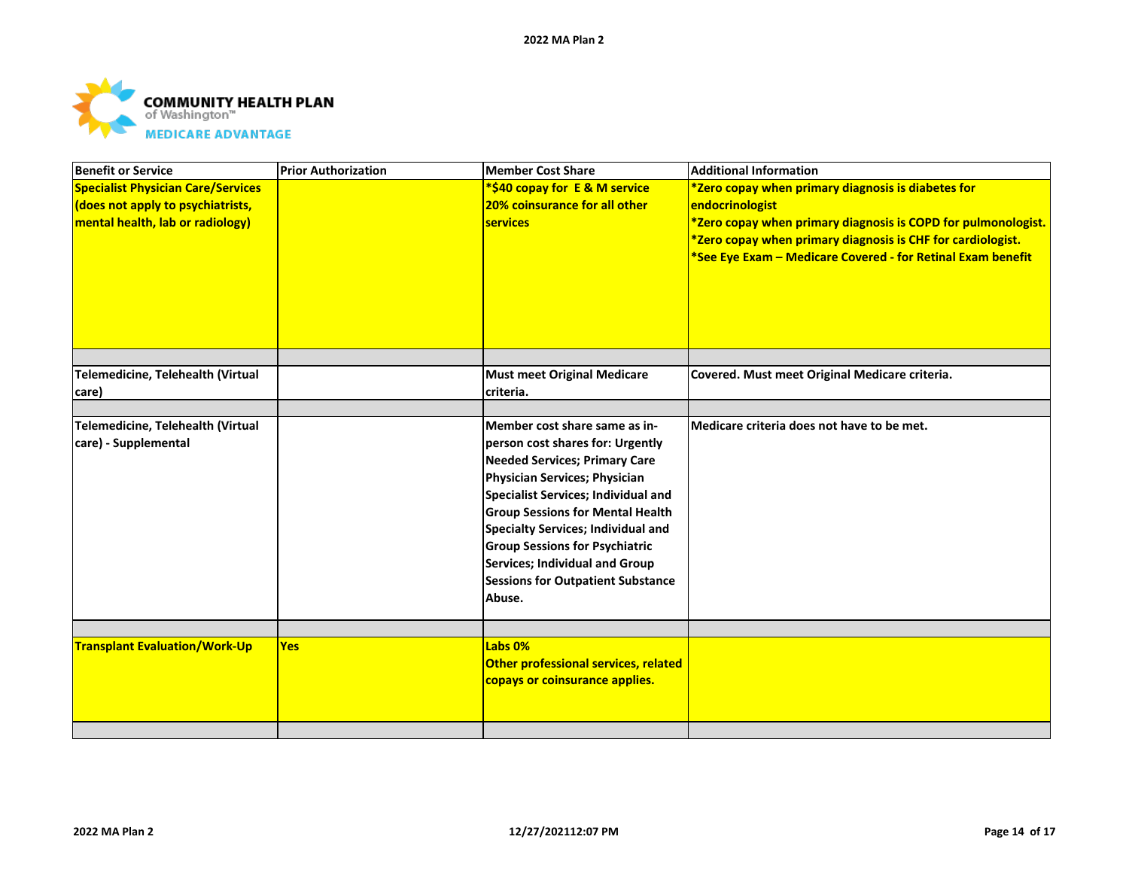

| <b>Benefit or Service</b>                 | <b>Prior Authorization</b> | <b>Member Cost Share</b>                 | <b>Additional Information</b>                                 |
|-------------------------------------------|----------------------------|------------------------------------------|---------------------------------------------------------------|
| <b>Specialist Physician Care/Services</b> |                            | *\$40 copay for E & M service            | *Zero copay when primary diagnosis is diabetes for            |
| does not apply to psychiatrists,          |                            | 20% coinsurance for all other            | endocrinologist                                               |
| mental health, lab or radiology)          |                            | <b>services</b>                          | *Zero copay when primary diagnosis is COPD for pulmonologist. |
|                                           |                            |                                          | *Zero copay when primary diagnosis is CHF for cardiologist.   |
|                                           |                            |                                          | *See Eye Exam - Medicare Covered - for Retinal Exam benefit   |
|                                           |                            |                                          |                                                               |
|                                           |                            |                                          |                                                               |
|                                           |                            |                                          |                                                               |
|                                           |                            |                                          |                                                               |
|                                           |                            |                                          |                                                               |
|                                           |                            |                                          |                                                               |
| Telemedicine, Telehealth (Virtual         |                            | <b>Must meet Original Medicare</b>       | Covered. Must meet Original Medicare criteria.                |
| care)                                     |                            | criteria.                                |                                                               |
| Telemedicine, Telehealth (Virtual         |                            | Member cost share same as in-            | Medicare criteria does not have to be met.                    |
| care) - Supplemental                      |                            | person cost shares for: Urgently         |                                                               |
|                                           |                            | <b>Needed Services; Primary Care</b>     |                                                               |
|                                           |                            | Physician Services; Physician            |                                                               |
|                                           |                            | Specialist Services; Individual and      |                                                               |
|                                           |                            | <b>Group Sessions for Mental Health</b>  |                                                               |
|                                           |                            | Specialty Services; Individual and       |                                                               |
|                                           |                            | <b>Group Sessions for Psychiatric</b>    |                                                               |
|                                           |                            | Services; Individual and Group           |                                                               |
|                                           |                            |                                          |                                                               |
|                                           |                            | <b>Sessions for Outpatient Substance</b> |                                                               |
|                                           |                            | Abuse.                                   |                                                               |
|                                           |                            |                                          |                                                               |
| <b>Transplant Evaluation/Work-Up</b>      | Yes                        | Labs 0%                                  |                                                               |
|                                           |                            | Other professional services, related     |                                                               |
|                                           |                            | copays or coinsurance applies.           |                                                               |
|                                           |                            |                                          |                                                               |
|                                           |                            |                                          |                                                               |
|                                           |                            |                                          |                                                               |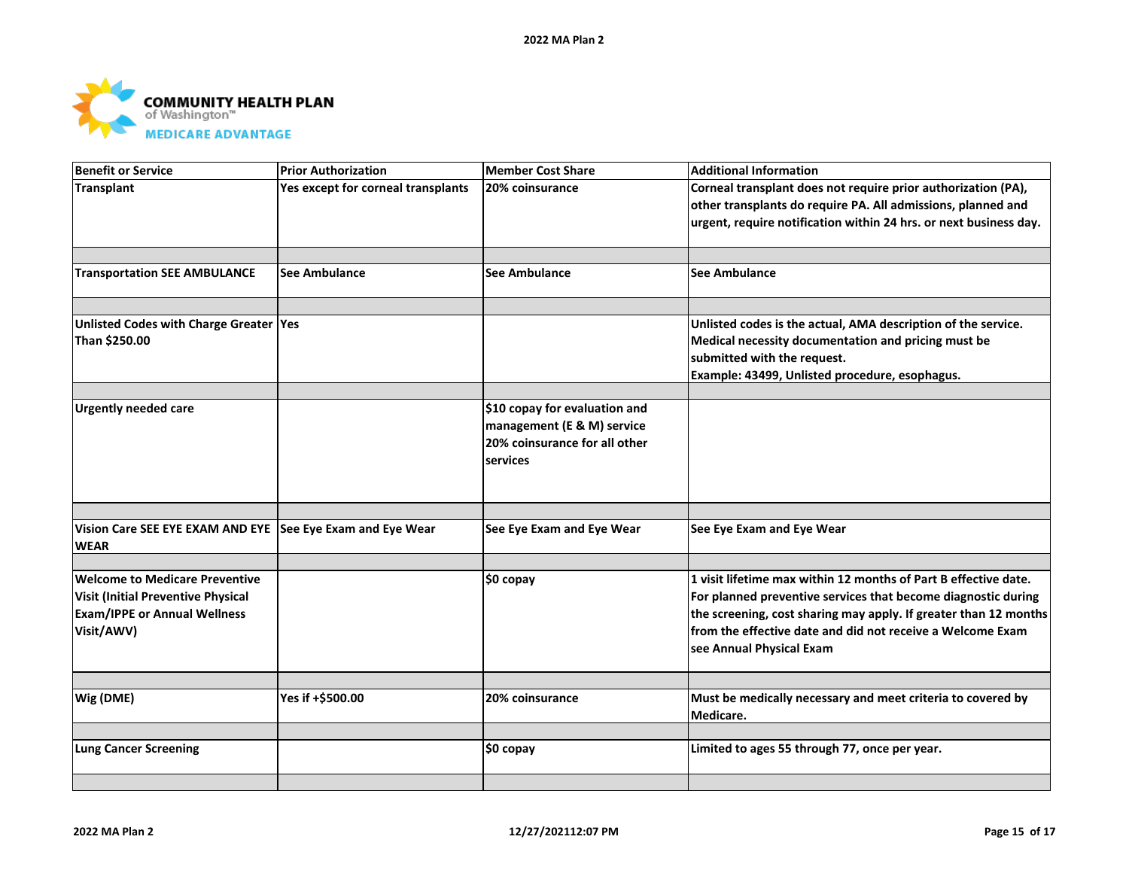

| <b>Benefit or Service</b>                                                                                                 | <b>Prior Authorization</b>         | <b>Member Cost Share</b>                                                                                 | <b>Additional Information</b>                                                                                                                                                                                                                                                                  |
|---------------------------------------------------------------------------------------------------------------------------|------------------------------------|----------------------------------------------------------------------------------------------------------|------------------------------------------------------------------------------------------------------------------------------------------------------------------------------------------------------------------------------------------------------------------------------------------------|
| Transplant                                                                                                                | Yes except for corneal transplants | 20% coinsurance                                                                                          | Corneal transplant does not require prior authorization (PA),<br>other transplants do require PA. All admissions, planned and<br>urgent, require notification within 24 hrs. or next business day.                                                                                             |
| <b>Transportation SEE AMBULANCE</b>                                                                                       | See Ambulance                      | <b>See Ambulance</b>                                                                                     | <b>See Ambulance</b>                                                                                                                                                                                                                                                                           |
| Unlisted Codes with Charge Greater  Yes<br>Than \$250.00                                                                  |                                    |                                                                                                          | Unlisted codes is the actual, AMA description of the service.<br>Medical necessity documentation and pricing must be<br>submitted with the request.<br>Example: 43499, Unlisted procedure, esophagus.                                                                                          |
| <b>Urgently needed care</b>                                                                                               |                                    | \$10 copay for evaluation and<br>management (E & M) service<br>20% coinsurance for all other<br>services |                                                                                                                                                                                                                                                                                                |
| Vision Care SEE EYE EXAM AND EYE See Eye Exam and Eye Wear<br><b>WEAR</b>                                                 |                                    | See Eye Exam and Eye Wear                                                                                | See Eye Exam and Eye Wear                                                                                                                                                                                                                                                                      |
| Welcome to Medicare Preventive<br>Visit (Initial Preventive Physical<br><b>Exam/IPPE or Annual Wellness</b><br>Visit/AWV) |                                    | \$0 copay                                                                                                | 1 visit lifetime max within 12 months of Part B effective date.<br>For planned preventive services that become diagnostic during<br>the screening, cost sharing may apply. If greater than 12 months<br>from the effective date and did not receive a Welcome Exam<br>see Annual Physical Exam |
| Wig (DME)                                                                                                                 | Yes if +\$500.00                   | 20% coinsurance                                                                                          | Must be medically necessary and meet criteria to covered by<br>Medicare.                                                                                                                                                                                                                       |
| <b>Lung Cancer Screening</b>                                                                                              |                                    | \$0 copay                                                                                                | Limited to ages 55 through 77, once per year.                                                                                                                                                                                                                                                  |
|                                                                                                                           |                                    |                                                                                                          |                                                                                                                                                                                                                                                                                                |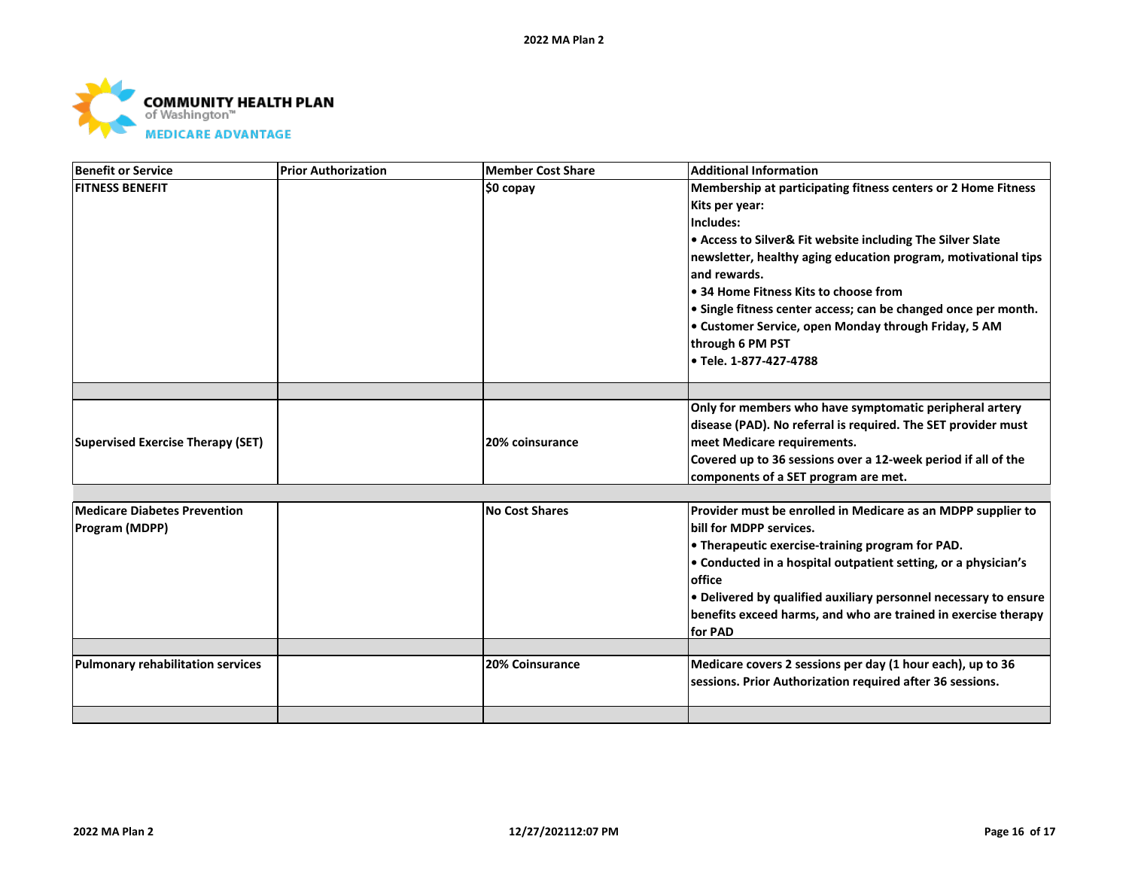

| Benefit or Service                       | <b>Prior Authorization</b> | <b>Member Cost Share</b> | <b>Additional Information</b>                                    |
|------------------------------------------|----------------------------|--------------------------|------------------------------------------------------------------|
| <b>FITNESS BENEFIT</b>                   |                            | ∣\$0 copay               | Membership at participating fitness centers or 2 Home Fitness    |
|                                          |                            |                          | Kits per year:                                                   |
|                                          |                            |                          | Includes:                                                        |
|                                          |                            |                          | • Access to Silver& Fit website including The Silver Slate       |
|                                          |                            |                          | newsletter, healthy aging education program, motivational tips   |
|                                          |                            |                          | and rewards.                                                     |
|                                          |                            |                          | ● 34 Home Fitness Kits to choose from                            |
|                                          |                            |                          | • Single fitness center access; can be changed once per month.   |
|                                          |                            |                          | • Customer Service, open Monday through Friday, 5 AM             |
|                                          |                            |                          | through 6 PM PST                                                 |
|                                          |                            |                          | l● Tele. 1-877-427-4788                                          |
|                                          |                            |                          |                                                                  |
|                                          |                            |                          | Only for members who have symptomatic peripheral artery          |
|                                          |                            |                          | disease (PAD). No referral is required. The SET provider must    |
| Supervised Exercise Therapy (SET)        |                            | <b>20% coinsurance</b>   | meet Medicare requirements.                                      |
|                                          |                            |                          | Covered up to 36 sessions over a 12-week period if all of the    |
|                                          |                            |                          | components of a SET program are met.                             |
|                                          |                            |                          |                                                                  |
| Medicare Diabetes Prevention             |                            | No Cost Shares           | Provider must be enrolled in Medicare as an MDPP supplier to     |
| <b>Program (MDPP)</b>                    |                            |                          | bill for MDPP services.                                          |
|                                          |                            |                          | • Therapeutic exercise-training program for PAD.                 |
|                                          |                            |                          | • Conducted in a hospital outpatient setting, or a physician's   |
|                                          |                            |                          | office                                                           |
|                                          |                            |                          | • Delivered by qualified auxiliary personnel necessary to ensure |
|                                          |                            |                          | benefits exceed harms, and who are trained in exercise therapy   |
|                                          |                            |                          | for PAD                                                          |
| <b>Pulmonary rehabilitation services</b> |                            | <b>20% Coinsurance</b>   | Medicare covers 2 sessions per day (1 hour each), up to 36       |
|                                          |                            |                          | sessions. Prior Authorization required after 36 sessions.        |
|                                          |                            |                          |                                                                  |
|                                          |                            |                          |                                                                  |